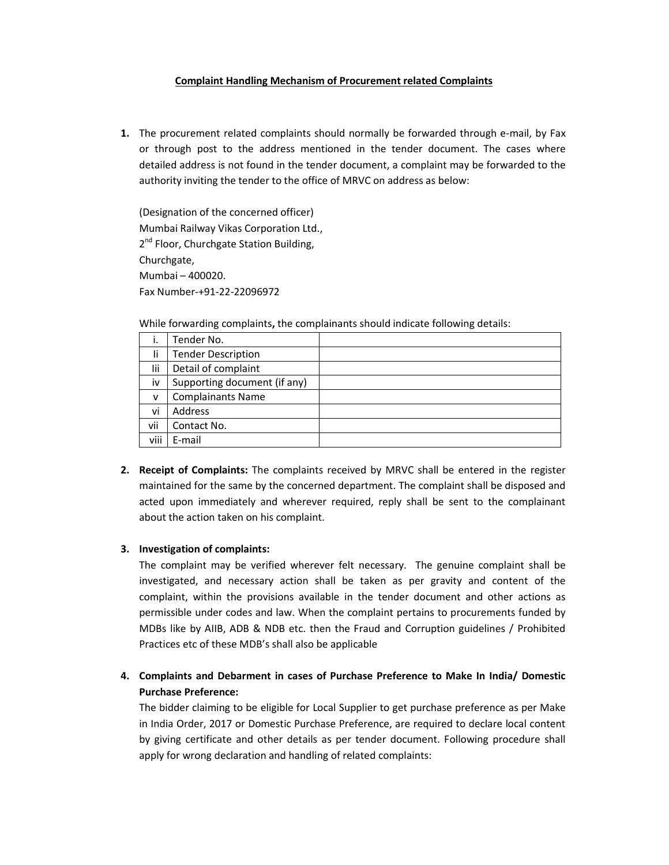## **Complaint Handling Mechanism of Procurement related Complaints**

**1.** The procurement related complaints should normally be forwarded through e-mail, by Fax or through post to the address mentioned in the tender document. The cases where detailed address is not found in the tender document, a complaint may be forwarded to the authority inviting the tender to the office of MRVC on address as below:

(Designation of the concerned officer) Mumbai Railway Vikas Corporation Ltd., 2<sup>nd</sup> Floor, Churchgate Station Building, Churchgate, Mumbai – 400020. Fax Number-+91-22-22096972

While forwarding complaints**,** the complainants should indicate following details:

| i.   | Tender No.                   |  |
|------|------------------------------|--|
| Ιi   | <b>Tender Description</b>    |  |
| lii  | Detail of complaint          |  |
| iv   | Supporting document (if any) |  |
| v    | <b>Complainants Name</b>     |  |
| vi   | Address                      |  |
| vii  | Contact No.                  |  |
| viii | E-mail                       |  |

**2. Receipt of Complaints:** The complaints received by MRVC shall be entered in the register maintained for the same by the concerned department. The complaint shall be disposed and acted upon immediately and wherever required, reply shall be sent to the complainant about the action taken on his complaint.

## **3. Investigation of complaints:**

The complaint may be verified wherever felt necessary. The genuine complaint shall be investigated, and necessary action shall be taken as per gravity and content of the complaint, within the provisions available in the tender document and other actions as permissible under codes and law. When the complaint pertains to procurements funded by MDBs like by AIIB, ADB & NDB etc. then the Fraud and Corruption guidelines / Prohibited Practices etc of these MDB's shall also be applicable

## **4. Complaints and Debarment in cases of Purchase Preference to Make In India/ Domestic Purchase Preference:**

The bidder claiming to be eligible for Local Supplier to get purchase preference as per Make in India Order, 2017 or Domestic Purchase Preference, are required to declare local content by giving certificate and other details as per tender document. Following procedure shall apply for wrong declaration and handling of related complaints: